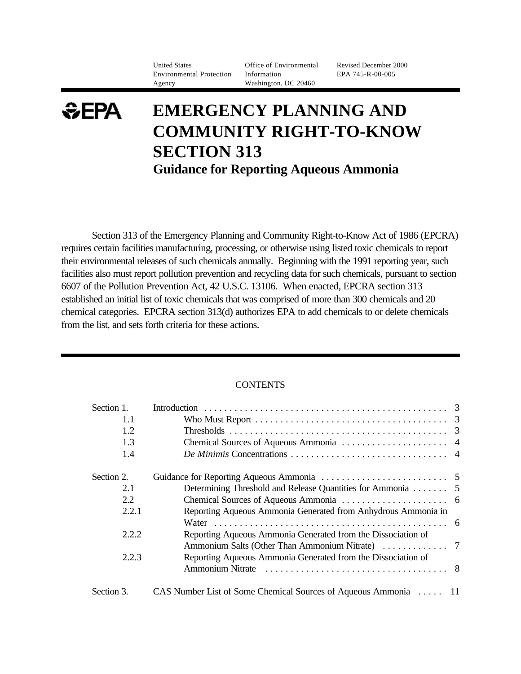United States Office of Environmental Revised December 2000 Environmental Protection Information EPA 745-R-00-005 Agency Washington, DC 20460

# *SEPA* **EMERGENCY PLANNING AND COMMUNITY RIGHT-TO-KNOW SECTION 313 Guidance for Reporting Aqueous Ammonia**

Section 313 of the Emergency Planning and Community Right-to-Know Act of 1986 (EPCRA) requires certain facilities manufacturing, processing, or otherwise using listed toxic chemicals to report their environmental releases of such chemicals annually. Beginning with the 1991 reporting year, such facilities also must report pollution prevention and recycling data for such chemicals, pursuant to section 6607 of the Pollution Prevention Act, 42 U.S.C. 13106. When enacted, EPCRA section 313 established an initial list of toxic chemicals that was comprised of more than 300 chemicals and 20 chemical categories. EPCRA section 313(d) authorizes EPA to add chemicals to or delete chemicals from the list, and sets forth criteria for these actions.

#### **CONTENTS**

| Section 1. |                                                                 |  |
|------------|-----------------------------------------------------------------|--|
| 1.1        |                                                                 |  |
| 1.2        |                                                                 |  |
| 1.3        |                                                                 |  |
| 1.4        |                                                                 |  |
| Section 2. |                                                                 |  |
| 2.1        | Determining Threshold and Release Quantities for Ammonia 5      |  |
| 2.2        |                                                                 |  |
| 2.2.1      | Reporting Aqueous Ammonia Generated from Anhydrous Ammonia in   |  |
|            |                                                                 |  |
| 2.2.2      | Reporting Aqueous Ammonia Generated from the Dissociation of    |  |
|            |                                                                 |  |
| 2.2.3      | Reporting Aqueous Ammonia Generated from the Dissociation of    |  |
|            |                                                                 |  |
| Section 3. | CAS Number List of Some Chemical Sources of Aqueous Ammonia  11 |  |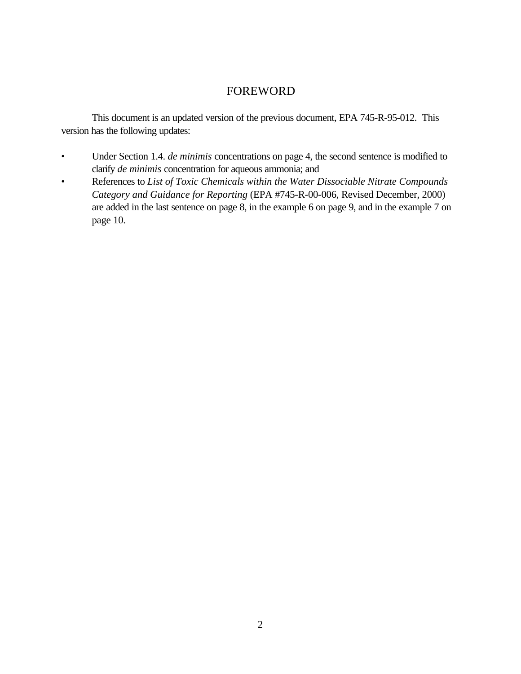# FOREWORD

This document is an updated version of the previous document, EPA 745-R-95-012. This version has the following updates:

- Under Section 1.4. *de minimis* concentrations on page 4, the second sentence is modified to clarify *de minimis* concentration for aqueous ammonia; and
- References to *List of Toxic Chemicals within the Water Dissociable Nitrate Compounds Category and Guidance for Reporting* (EPA #745-R-00-006, Revised December, 2000) are added in the last sentence on page 8, in the example 6 on page 9, and in the example 7 on page 10.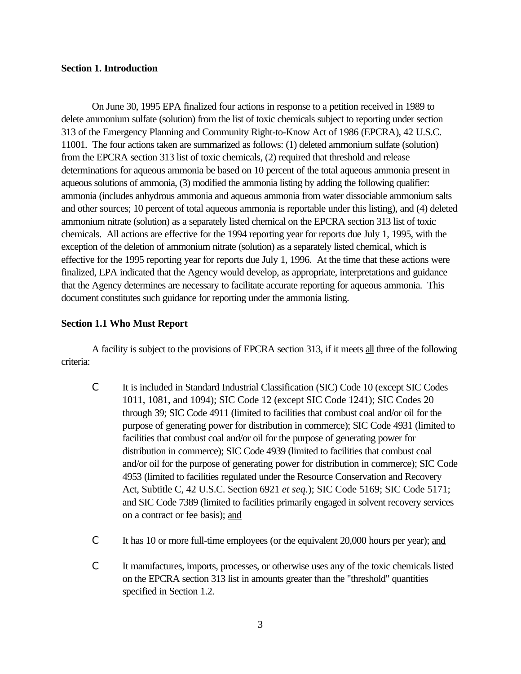#### **Section 1. Introduction**

On June 30, 1995 EPA finalized four actions in response to a petition received in 1989 to delete ammonium sulfate (solution) from the list of toxic chemicals subject to reporting under section 313 of the Emergency Planning and Community Right-to-Know Act of 1986 (EPCRA), 42 U.S.C. 11001. The four actions taken are summarized as follows: (1) deleted ammonium sulfate (solution) from the EPCRA section 313 list of toxic chemicals, (2) required that threshold and release determinations for aqueous ammonia be based on 10 percent of the total aqueous ammonia present in aqueous solutions of ammonia, (3) modified the ammonia listing by adding the following qualifier: ammonia (includes anhydrous ammonia and aqueous ammonia from water dissociable ammonium salts and other sources; 10 percent of total aqueous ammonia is reportable under this listing), and (4) deleted ammonium nitrate (solution) as a separately listed chemical on the EPCRA section 313 list of toxic chemicals. All actions are effective for the 1994 reporting year for reports due July 1, 1995, with the exception of the deletion of ammonium nitrate (solution) as a separately listed chemical, which is effective for the 1995 reporting year for reports due July 1, 1996. At the time that these actions were finalized, EPA indicated that the Agency would develop, as appropriate, interpretations and guidance that the Agency determines are necessary to facilitate accurate reporting for aqueous ammonia. This document constitutes such guidance for reporting under the ammonia listing.

#### **Section 1.1 Who Must Report**

A facility is subject to the provisions of EPCRA section 313, if it meets all three of the following criteria:

- C It is included in Standard Industrial Classification (SIC) Code 10 (except SIC Codes 1011, 1081, and 1094); SIC Code 12 (except SIC Code 1241); SIC Codes 20 through 39; SIC Code 4911 (limited to facilities that combust coal and/or oil for the purpose of generating power for distribution in commerce); SIC Code 4931 (limited to facilities that combust coal and/or oil for the purpose of generating power for distribution in commerce); SIC Code 4939 (limited to facilities that combust coal and/or oil for the purpose of generating power for distribution in commerce); SIC Code 4953 (limited to facilities regulated under the Resource Conservation and Recovery Act, Subtitle C, 42 U.S.C. Section 6921 *et seq.*); SIC Code 5169; SIC Code 5171; and SIC Code 7389 (limited to facilities primarily engaged in solvent recovery services on a contract or fee basis); and
- C It has 10 or more full-time employees (or the equivalent 20,000 hours per year); and
- C It manufactures, imports, processes, or otherwise uses any of the toxic chemicals listed on the EPCRA section 313 list in amounts greater than the "threshold" quantities specified in Section 1.2.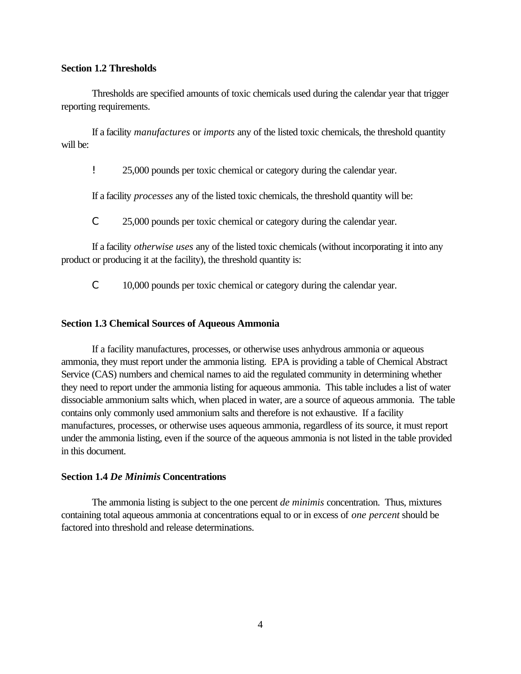#### **Section 1.2 Thresholds**

Thresholds are specified amounts of toxic chemicals used during the calendar year that trigger reporting requirements.

If a facility *manufactures* or *imports* any of the listed toxic chemicals, the threshold quantity will be:

! 25,000 pounds per toxic chemical or category during the calendar year.

If a facility *processes* any of the listed toxic chemicals, the threshold quantity will be:

C 25,000 pounds per toxic chemical or category during the calendar year.

If a facility *otherwise uses* any of the listed toxic chemicals (without incorporating it into any product or producing it at the facility), the threshold quantity is:

C 10,000 pounds per toxic chemical or category during the calendar year.

## **Section 1.3 Chemical Sources of Aqueous Ammonia**

If a facility manufactures, processes, or otherwise uses anhydrous ammonia or aqueous ammonia, they must report under the ammonia listing. EPA is providing a table of Chemical Abstract Service (CAS) numbers and chemical names to aid the regulated community in determining whether they need to report under the ammonia listing for aqueous ammonia. This table includes a list of water dissociable ammonium salts which, when placed in water, are a source of aqueous ammonia. The table contains only commonly used ammonium salts and therefore is not exhaustive. If a facility manufactures, processes, or otherwise uses aqueous ammonia, regardless of its source, it must report under the ammonia listing, even if the source of the aqueous ammonia is not listed in the table provided in this document.

#### **Section 1.4** *De Minimis* **Concentrations**

The ammonia listing is subject to the one percent *de minimis* concentration. Thus, mixtures containing total aqueous ammonia at concentrations equal to or in excess of *one percent* should be factored into threshold and release determinations.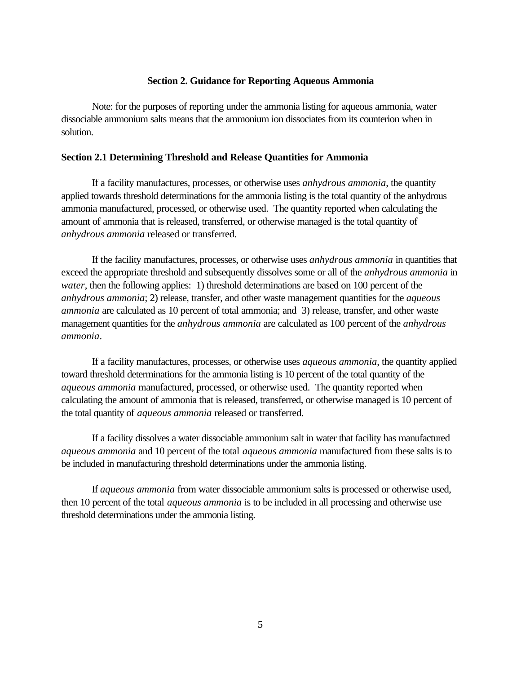#### **Section 2. Guidance for Reporting Aqueous Ammonia**

Note: for the purposes of reporting under the ammonia listing for aqueous ammonia, water dissociable ammonium salts means that the ammonium ion dissociates from its counterion when in solution.

#### **Section 2.1 Determining Threshold and Release Quantities for Ammonia**

If a facility manufactures, processes, or otherwise uses *anhydrous ammonia*, the quantity applied towards threshold determinations for the ammonia listing is the total quantity of the anhydrous ammonia manufactured, processed, or otherwise used. The quantity reported when calculating the amount of ammonia that is released, transferred, or otherwise managed is the total quantity of *anhydrous ammonia* released or transferred.

If the facility manufactures, processes, or otherwise uses *anhydrous ammonia* in quantities that exceed the appropriate threshold and subsequently dissolves some or all of the *anhydrous ammonia* in *water*, then the following applies: 1) threshold determinations are based on 100 percent of the *anhydrous ammonia*; 2) release, transfer, and other waste management quantities for the *aqueous ammonia* are calculated as 10 percent of total ammonia; and 3) release, transfer, and other waste management quantities for the *anhydrous ammonia* are calculated as 100 percent of the *anhydrous ammonia*.

If a facility manufactures, processes, or otherwise uses *aqueous ammonia*, the quantity applied toward threshold determinations for the ammonia listing is 10 percent of the total quantity of the *aqueous ammonia* manufactured, processed, or otherwise used. The quantity reported when calculating the amount of ammonia that is released, transferred, or otherwise managed is 10 percent of the total quantity of *aqueous ammonia* released or transferred.

If a facility dissolves a water dissociable ammonium salt in water that facility has manufactured *aqueous ammonia* and 10 percent of the total *aqueous ammonia* manufactured from these salts is to be included in manufacturing threshold determinations under the ammonia listing.

If *aqueous ammonia* from water dissociable ammonium salts is processed or otherwise used, then 10 percent of the total *aqueous ammonia* is to be included in all processing and otherwise use threshold determinations under the ammonia listing.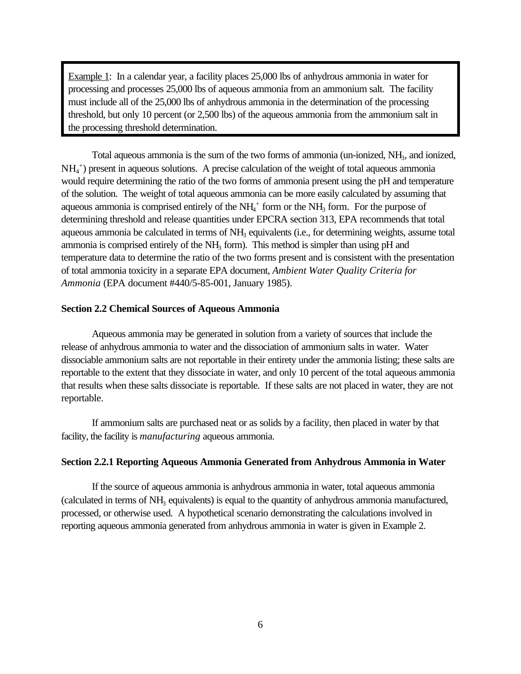Example 1: In a calendar year, a facility places 25,000 lbs of anhydrous ammonia in water for processing and processes 25,000 lbs of aqueous ammonia from an ammonium salt. The facility must include all of the 25,000 lbs of anhydrous ammonia in the determination of the processing threshold, but only 10 percent (or 2,500 lbs) of the aqueous ammonia from the ammonium salt in the processing threshold determination.

Total aqueous ammonia is the sum of the two forms of ammonia (un-ionized, NH<sub>3</sub>, and ionized, NH<sup>4</sup> + ) present in aqueous solutions. A precise calculation of the weight of total aqueous ammonia would require determining the ratio of the two forms of ammonia present using the pH and temperature of the solution. The weight of total aqueous ammonia can be more easily calculated by assuming that aqueous ammonia is comprised entirely of the  $NH<sub>4</sub>$ <sup>+</sup> form or the NH<sub>3</sub> form. For the purpose of determining threshold and release quantities under EPCRA section 313, EPA recommends that total aqueous ammonia be calculated in terms of NH<sub>3</sub> equivalents (i.e., for determining weights, assume total ammonia is comprised entirely of the  $NH<sub>3</sub>$  form). This method is simpler than using pH and temperature data to determine the ratio of the two forms present and is consistent with the presentation of total ammonia toxicity in a separate EPA document, *Ambient Water Quality Criteria for Ammonia* (EPA document #440/5-85-001, January 1985).

#### **Section 2.2 Chemical Sources of Aqueous Ammonia**

Aqueous ammonia may be generated in solution from a variety of sources that include the release of anhydrous ammonia to water and the dissociation of ammonium salts in water. Water dissociable ammonium salts are not reportable in their entirety under the ammonia listing; these salts are reportable to the extent that they dissociate in water, and only 10 percent of the total aqueous ammonia that results when these salts dissociate is reportable. If these salts are not placed in water, they are not reportable.

If ammonium salts are purchased neat or as solids by a facility, then placed in water by that facility, the facility is *manufacturing* aqueous ammonia.

#### **Section 2.2.1 Reporting Aqueous Ammonia Generated from Anhydrous Ammonia in Water**

If the source of aqueous ammonia is anhydrous ammonia in water, total aqueous ammonia (calculated in terms of NH<sub>3</sub> equivalents) is equal to the quantity of anhydrous ammonia manufactured, processed, or otherwise used. A hypothetical scenario demonstrating the calculations involved in reporting aqueous ammonia generated from anhydrous ammonia in water is given in Example 2.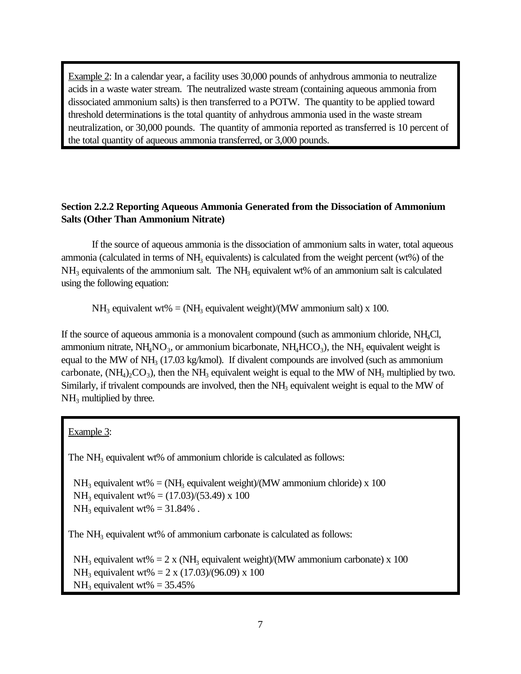Example 2: In a calendar year, a facility uses 30,000 pounds of anhydrous ammonia to neutralize acids in a waste water stream. The neutralized waste stream (containing aqueous ammonia from dissociated ammonium salts) is then transferred to a POTW. The quantity to be applied toward threshold determinations is the total quantity of anhydrous ammonia used in the waste stream neutralization, or 30,000 pounds. The quantity of ammonia reported as transferred is 10 percent of the total quantity of aqueous ammonia transferred, or 3,000 pounds.

# **Section 2.2.2 Reporting Aqueous Ammonia Generated from the Dissociation of Ammonium Salts (Other Than Ammonium Nitrate)**

If the source of aqueous ammonia is the dissociation of ammonium salts in water, total aqueous ammonia (calculated in terms of  $NH<sub>3</sub>$  equivalents) is calculated from the weight percent (wt%) of the  $NH<sub>3</sub>$  equivalents of the ammonium salt. The NH<sub>3</sub> equivalent wt% of an ammonium salt is calculated using the following equation:

 $NH<sub>3</sub>$  equivalent wt% = (NH<sub>3</sub> equivalent weight)/(MW ammonium salt) x 100.

If the source of aqueous ammonia is a monovalent compound (such as ammonium chloride, NH4Cl, ammonium nitrate,  $NH_4NO_3$ , or ammonium bicarbonate,  $NH_4HCO_3$ ), the  $NH_3$  equivalent weight is equal to the MW of NH<sub>3</sub> (17.03 kg/kmol). If divalent compounds are involved (such as ammonium carbonate,  $(NH_4)_2CO_3$ ), then the NH<sub>3</sub> equivalent weight is equal to the MW of NH<sub>3</sub> multiplied by two. Similarly, if trivalent compounds are involved, then the NH<sub>3</sub> equivalent weight is equal to the MW of  $NH<sub>3</sub>$  multiplied by three.

Example 3:

The  $NH<sub>3</sub>$  equivalent wt% of ammonium chloride is calculated as follows:

 $NH<sub>3</sub>$  equivalent wt% = (NH<sub>3</sub> equivalent weight)/(MW ammonium chloride) x 100 NH<sub>3</sub> equivalent wt% =  $(17.03)/(53.49)$  x 100  $NH<sub>3</sub>$  equivalent wt% = 31.84%.

The  $NH<sub>3</sub>$  equivalent wt% of ammonium carbonate is calculated as follows:

NH<sub>3</sub> equivalent wt% = 2 x (NH<sub>3</sub> equivalent weight)/(MW ammonium carbonate) x 100 NH<sub>3</sub> equivalent wt% = 2 x (17.03)/(96.09) x 100  $NH<sub>3</sub>$  equivalent wt% = 35.45%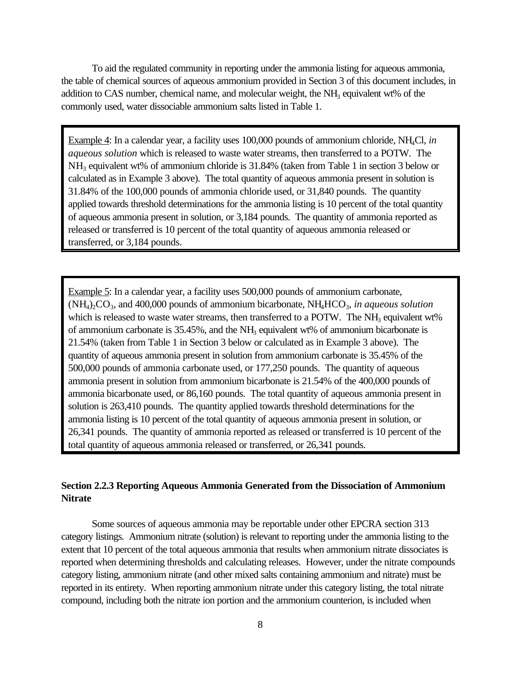To aid the regulated community in reporting under the ammonia listing for aqueous ammonia, the table of chemical sources of aqueous ammonium provided in Section 3 of this document includes, in addition to CAS number, chemical name, and molecular weight, the NH<sub>3</sub> equivalent wt% of the commonly used, water dissociable ammonium salts listed in Table 1.

Example 4: In a calendar year, a facility uses 100,000 pounds of ammonium chloride, NH4Cl, *in aqueous solution* which is released to waste water streams, then transferred to a POTW. The NH<sub>3</sub> equivalent wt% of ammonium chloride is 31.84% (taken from Table 1 in section 3 below or calculated as in Example 3 above). The total quantity of aqueous ammonia present in solution is 31.84% of the 100,000 pounds of ammonia chloride used, or 31,840 pounds. The quantity applied towards threshold determinations for the ammonia listing is 10 percent of the total quantity of aqueous ammonia present in solution, or 3,184 pounds. The quantity of ammonia reported as released or transferred is 10 percent of the total quantity of aqueous ammonia released or transferred, or 3,184 pounds.

Example 5: In a calendar year, a facility uses 500,000 pounds of ammonium carbonate,  $(NH<sub>4</sub>)<sub>2</sub>CO<sub>3</sub>$ , and 400,000 pounds of ammonium bicarbonate,  $NH<sub>4</sub>HCO<sub>3</sub>$ , in aqueous solution which is released to waste water streams, then transferred to a POTW. The  $NH<sub>3</sub>$  equivalent wt% of ammonium carbonate is  $35.45\%$ , and the NH<sub>3</sub> equivalent wt% of ammonium bicarbonate is 21.54% (taken from Table 1 in Section 3 below or calculated as in Example 3 above). The quantity of aqueous ammonia present in solution from ammonium carbonate is 35.45% of the 500,000 pounds of ammonia carbonate used, or 177,250 pounds. The quantity of aqueous ammonia present in solution from ammonium bicarbonate is 21.54% of the 400,000 pounds of ammonia bicarbonate used, or 86,160 pounds. The total quantity of aqueous ammonia present in solution is 263,410 pounds. The quantity applied towards threshold determinations for the ammonia listing is 10 percent of the total quantity of aqueous ammonia present in solution, or 26,341 pounds. The quantity of ammonia reported as released or transferred is 10 percent of the total quantity of aqueous ammonia released or transferred, or 26,341 pounds.

## **Section 2.2.3 Reporting Aqueous Ammonia Generated from the Dissociation of Ammonium Nitrate**

Some sources of aqueous ammonia may be reportable under other EPCRA section 313 category listings. Ammonium nitrate (solution) is relevant to reporting under the ammonia listing to the extent that 10 percent of the total aqueous ammonia that results when ammonium nitrate dissociates is reported when determining thresholds and calculating releases. However, under the nitrate compounds category listing, ammonium nitrate (and other mixed salts containing ammonium and nitrate) must be reported in its entirety. When reporting ammonium nitrate under this category listing, the total nitrate compound, including both the nitrate ion portion and the ammonium counterion, is included when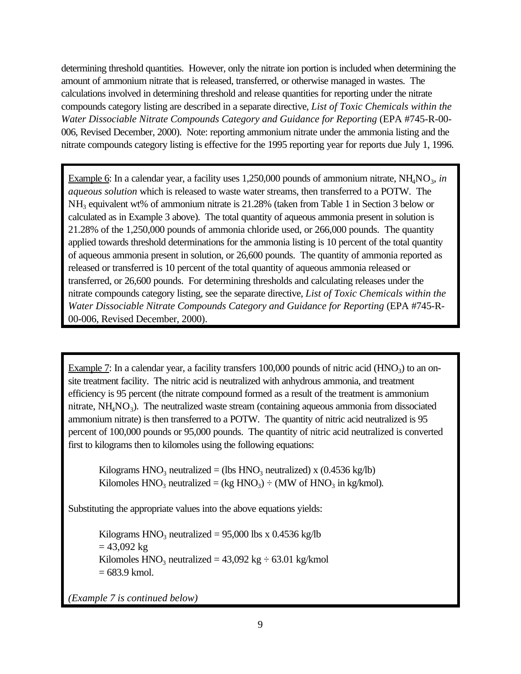determining threshold quantities. However, only the nitrate ion portion is included when determining the amount of ammonium nitrate that is released, transferred, or otherwise managed in wastes. The calculations involved in determining threshold and release quantities for reporting under the nitrate compounds category listing are described in a separate directive, *List of Toxic Chemicals within the Water Dissociable Nitrate Compounds Category and Guidance for Reporting* (EPA #745-R-00- 006, Revised December, 2000). Note: reporting ammonium nitrate under the ammonia listing and the nitrate compounds category listing is effective for the 1995 reporting year for reports due July 1, 1996.

Example 6: In a calendar year, a facility uses 1,250,000 pounds of ammonium nitrate, NH<sub>4</sub>NO<sub>3</sub>, in *aqueous solution* which is released to waste water streams, then transferred to a POTW. The NH<sub>3</sub> equivalent wt% of ammonium nitrate is 21.28% (taken from Table 1 in Section 3 below or calculated as in Example 3 above). The total quantity of aqueous ammonia present in solution is 21.28% of the 1,250,000 pounds of ammonia chloride used, or 266,000 pounds. The quantity applied towards threshold determinations for the ammonia listing is 10 percent of the total quantity of aqueous ammonia present in solution, or 26,600 pounds. The quantity of ammonia reported as released or transferred is 10 percent of the total quantity of aqueous ammonia released or transferred, or 26,600 pounds. For determining thresholds and calculating releases under the nitrate compounds category listing, see the separate directive, *List of Toxic Chemicals within the Water Dissociable Nitrate Compounds Category and Guidance for Reporting* (EPA #745-R-00-006, Revised December, 2000).

Example  $7$ : In a calendar year, a facility transfers  $100,000$  pounds of nitric acid (HNO<sub>3</sub>) to an onsite treatment facility. The nitric acid is neutralized with anhydrous ammonia, and treatment efficiency is 95 percent (the nitrate compound formed as a result of the treatment is ammonium nitrate,  $NH<sub>4</sub>NO<sub>3</sub>$ ). The neutralized waste stream (containing aqueous ammonia from dissociated ammonium nitrate) is then transferred to a POTW. The quantity of nitric acid neutralized is 95 percent of 100,000 pounds or 95,000 pounds. The quantity of nitric acid neutralized is converted first to kilograms then to kilomoles using the following equations:

Kilograms  $HNO<sub>3</sub>$  neutralized = (lbs  $HNO<sub>3</sub>$  neutralized) x (0.4536 kg/lb) Kilomoles  $HNO<sub>3</sub>$  neutralized = (kg  $HNO<sub>3</sub>$ ) ÷ (MW of  $HNO<sub>3</sub>$  in kg/kmol).

Substituting the appropriate values into the above equations yields:

Kilograms  $HNO<sub>3</sub>$  neutralized = 95,000 lbs x 0.4536 kg/lb  $= 43,092 \text{ kg}$ Kilomoles  $HNO<sub>3</sub>$  neutralized = 43,092 kg  $\div$  63.01 kg/kmol  $= 683.9$  kmol.

*(Example 7 is continued below)*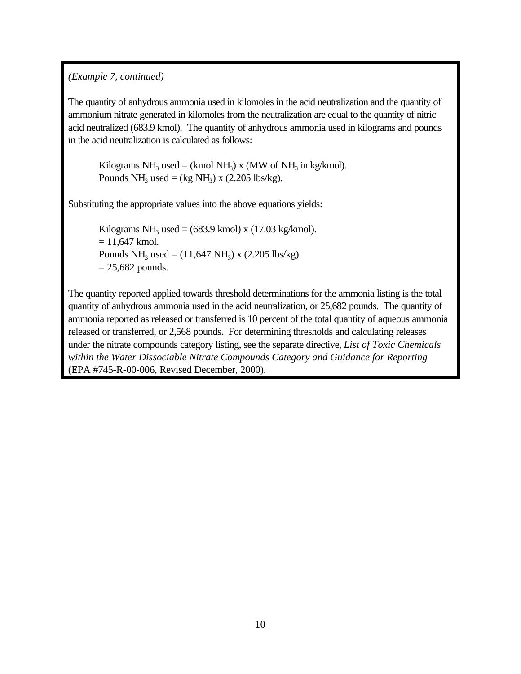# *(Example 7, continued)*

The quantity of anhydrous ammonia used in kilomoles in the acid neutralization and the quantity of ammonium nitrate generated in kilomoles from the neutralization are equal to the quantity of nitric acid neutralized (683.9 kmol). The quantity of anhydrous ammonia used in kilograms and pounds in the acid neutralization is calculated as follows:

Kilograms NH<sub>3</sub> used = (kmol NH<sub>3</sub>) x (MW of NH<sub>3</sub> in kg/kmol). Pounds  $NH_3$  used = (kg  $NH_3$ ) x (2.205 lbs/kg).

Substituting the appropriate values into the above equations yields:

Kilograms NH<sub>3</sub> used =  $(683.9 \text{ kmol}) \times (17.03 \text{ kg/kmol})$ .  $= 11,647$  kmol. Pounds  $NH_3$  used =  $(11,647 \text{ NH}_3)$  x  $(2.205 \text{ lbs/kg})$ .  $= 25,682$  pounds.

The quantity reported applied towards threshold determinations for the ammonia listing is the total quantity of anhydrous ammonia used in the acid neutralization, or 25,682 pounds. The quantity of ammonia reported as released or transferred is 10 percent of the total quantity of aqueous ammonia released or transferred, or 2,568 pounds. For determining thresholds and calculating releases under the nitrate compounds category listing, see the separate directive, *List of Toxic Chemicals within the Water Dissociable Nitrate Compounds Category and Guidance for Reporting* (EPA #745-R-00-006, Revised December, 2000).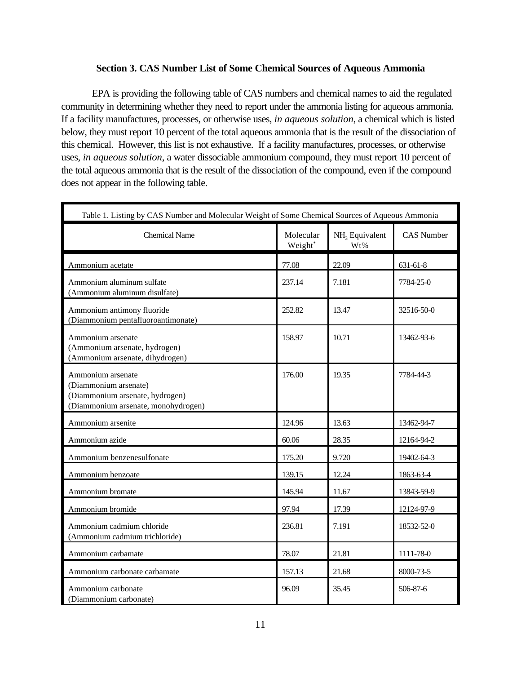## **Section 3. CAS Number List of Some Chemical Sources of Aqueous Ammonia**

EPA is providing the following table of CAS numbers and chemical names to aid the regulated community in determining whether they need to report under the ammonia listing for aqueous ammonia. If a facility manufactures, processes, or otherwise uses, *in aqueous solution*, a chemical which is listed below, they must report 10 percent of the total aqueous ammonia that is the result of the dissociation of this chemical. However, this list is not exhaustive. If a facility manufactures, processes, or otherwise uses, *in aqueous solution*, a water dissociable ammonium compound, they must report 10 percent of the total aqueous ammonia that is the result of the dissociation of the compound, even if the compound does not appear in the following table.

| Table 1. Listing by CAS Number and Molecular Weight of Some Chemical Sources of Aqueous Ammonia                      |                      |                                   |                   |
|----------------------------------------------------------------------------------------------------------------------|----------------------|-----------------------------------|-------------------|
| <b>Chemical Name</b>                                                                                                 | Molecular<br>Weight* | NH <sub>3</sub> Equivalent<br>Wt% | <b>CAS Number</b> |
| Ammonium acetate                                                                                                     | 77.08                | 22.09                             | 631-61-8          |
| Ammonium aluminum sulfate<br>(Ammonium aluminum disulfate)                                                           | 237.14               | 7.181                             | 7784-25-0         |
| Ammonium antimony fluoride<br>(Diammonium pentafluoroantimonate)                                                     | 252.82               | 13.47                             | 32516-50-0        |
| Ammonium arsenate<br>(Ammonium arsenate, hydrogen)<br>(Ammonium arsenate, dihydrogen)                                | 158.97               | 10.71                             | 13462-93-6        |
| Ammonium arsenate<br>(Diammonium arsenate)<br>(Diammonium arsenate, hydrogen)<br>(Diammonium arsenate, monohydrogen) | 176.00               | 19.35                             | 7784-44-3         |
| Ammonium arsenite                                                                                                    | 124.96               | 13.63                             | 13462-94-7        |
| Ammonium azide                                                                                                       | 60.06                | 28.35                             | 12164-94-2        |
| Ammonium benzenesulfonate                                                                                            | 175.20               | 9.720                             | 19402-64-3        |
| Ammonium benzoate                                                                                                    | 139.15               | 12.24                             | 1863-63-4         |
| Ammonium bromate                                                                                                     | 145.94               | 11.67                             | 13843-59-9        |
| Ammonium bromide                                                                                                     | 97.94                | 17.39                             | 12124-97-9        |
| Ammonium cadmium chloride<br>(Ammonium cadmium trichloride)                                                          | 236.81               | 7.191                             | 18532-52-0        |
| Ammonium carbamate                                                                                                   | 78.07                | 21.81                             | 1111-78-0         |
| Ammonium carbonate carbamate                                                                                         | 157.13               | 21.68                             | 8000-73-5         |
| Ammonium carbonate<br>(Diammonium carbonate)                                                                         | 96.09                | 35.45                             | 506-87-6          |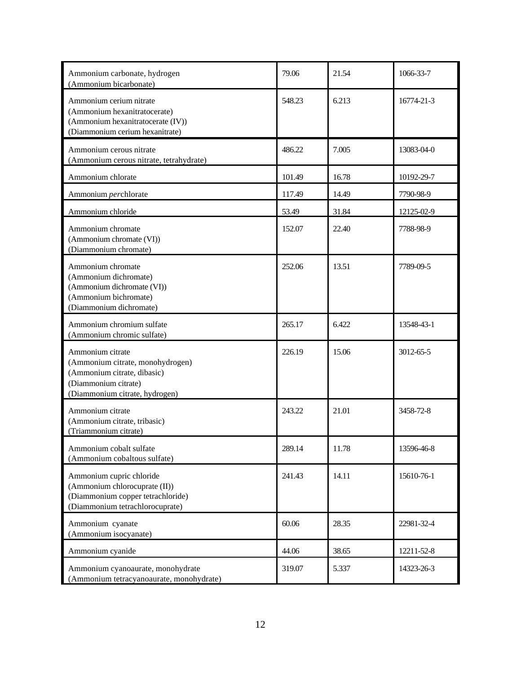| Ammonium carbonate, hydrogen<br>(Ammonium bicarbonate)                                                                                        | 79.06  | 21.54 | 1066-33-7  |
|-----------------------------------------------------------------------------------------------------------------------------------------------|--------|-------|------------|
| Ammonium cerium nitrate<br>(Ammonium hexanitratocerate)<br>(Ammonium hexanitratocerate (IV))<br>(Diammonium cerium hexanitrate)               | 548.23 | 6.213 | 16774-21-3 |
| Ammonium cerous nitrate<br>(Ammonium cerous nitrate, tetrahydrate)                                                                            | 486.22 | 7.005 | 13083-04-0 |
| Ammonium chlorate                                                                                                                             | 101.49 | 16.78 | 10192-29-7 |
| Ammonium perchlorate                                                                                                                          | 117.49 | 14.49 | 7790-98-9  |
| Ammonium chloride                                                                                                                             | 53.49  | 31.84 | 12125-02-9 |
| Ammonium chromate<br>(Ammonium chromate (VI))<br>(Diammonium chromate)                                                                        | 152.07 | 22.40 | 7788-98-9  |
| Ammonium chromate<br>(Ammonium dichromate)<br>(Ammonium dichromate (VI))<br>(Ammonium bichromate)<br>(Diammonium dichromate)                  | 252.06 | 13.51 | 7789-09-5  |
| Ammonium chromium sulfate<br>(Ammonium chromic sulfate)                                                                                       | 265.17 | 6.422 | 13548-43-1 |
| Ammonium citrate<br>(Ammonium citrate, monohydrogen)<br>(Ammonium citrate, dibasic)<br>(Diammonium citrate)<br>(Diammonium citrate, hydrogen) | 226.19 | 15.06 | 3012-65-5  |
| Ammonium citrate<br>(Ammonium citrate, tribasic)<br>(Triammonium citrate)                                                                     | 243.22 | 21.01 | 3458-72-8  |
| Ammonium cobalt sulfate<br>(Ammonium cobaltous sulfate)                                                                                       | 289.14 | 11.78 | 13596-46-8 |
| Ammonium cupric chloride<br>(Ammonium chlorocuprate (II))<br>(Diammonium copper tetrachloride)<br>(Diammonium tetrachlorocuprate)             | 241.43 | 14.11 | 15610-76-1 |
| Ammonium cyanate<br>(Ammonium isocyanate)                                                                                                     | 60.06  | 28.35 | 22981-32-4 |
| Ammonium cyanide                                                                                                                              | 44.06  | 38.65 | 12211-52-8 |
| Ammonium cyanoaurate, monohydrate<br>(Ammonium tetracyanoaurate, monohydrate)                                                                 | 319.07 | 5.337 | 14323-26-3 |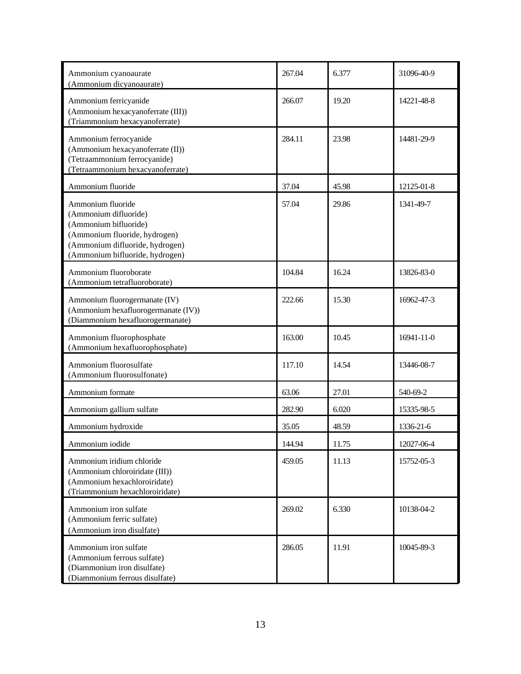| Ammonium cyanoaurate<br>(Ammonium dicyanoaurate)                                                                                                                           | 267.04 | 6.377 | 31096-40-9 |
|----------------------------------------------------------------------------------------------------------------------------------------------------------------------------|--------|-------|------------|
| Ammonium ferricyanide<br>(Ammonium hexacyanoferrate (III))<br>(Triammonium hexacyanoferrate)                                                                               | 266.07 | 19.20 | 14221-48-8 |
| Ammonium ferrocyanide<br>(Ammonium hexacyanoferrate (II))<br>(Tetraammonium ferrocyanide)<br>(Tetraammonium hexacyanoferrate)                                              | 284.11 | 23.98 | 14481-29-9 |
| Ammonium fluoride                                                                                                                                                          | 37.04  | 45.98 | 12125-01-8 |
| Ammonium fluoride<br>(Ammonium difluoride)<br>(Ammonium bifluoride)<br>(Ammonium fluoride, hydrogen)<br>(Ammonium difluoride, hydrogen)<br>(Ammonium bifluoride, hydrogen) | 57.04  | 29.86 | 1341-49-7  |
| Ammonium fluoroborate<br>(Ammonium tetrafluoroborate)                                                                                                                      | 104.84 | 16.24 | 13826-83-0 |
| Ammonium fluorogermanate (IV)<br>(Ammonium hexafluorogermanate (IV))<br>(Diammonium hexafluorogermanate)                                                                   | 222.66 | 15.30 | 16962-47-3 |
| Ammonium fluorophosphate<br>(Ammonium hexafluorophosphate)                                                                                                                 | 163.00 | 10.45 | 16941-11-0 |
| Ammonium fluorosulfate<br>(Ammonium fluorosulfonate)                                                                                                                       | 117.10 | 14.54 | 13446-08-7 |
| Ammonium formate                                                                                                                                                           | 63.06  | 27.01 | 540-69-2   |
| Ammonium gallium sulfate                                                                                                                                                   | 282.90 | 6.020 | 15335-98-5 |
| Ammonium hydroxide                                                                                                                                                         | 35.05  | 48.59 | 1336-21-6  |
| Ammonium iodide                                                                                                                                                            | 144.94 | 11.75 | 12027-06-4 |
| Ammonium iridium chloride<br>(Ammonium chloroiridate (III))<br>(Ammonium hexachloroiridate)<br>(Triammonium hexachloroiridate)                                             | 459.05 | 11.13 | 15752-05-3 |
| Ammonium iron sulfate<br>(Ammonium ferric sulfate)<br>(Ammonium iron disulfate)                                                                                            | 269.02 | 6.330 | 10138-04-2 |
| Ammonium iron sulfate<br>(Ammonium ferrous sulfate)<br>(Diammonium iron disulfate)<br>(Diammonium ferrous disulfate)                                                       | 286.05 | 11.91 | 10045-89-3 |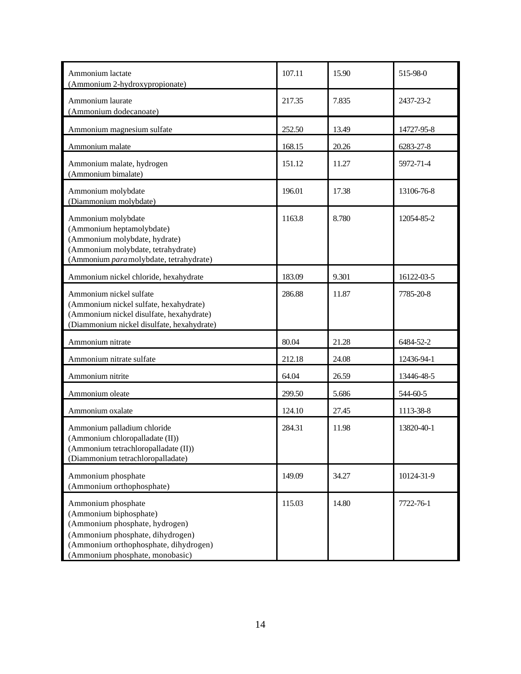| Ammonium lactate<br>(Ammonium 2-hydroxypropionate)                                                                                                                                             | 107.11 | 15.90 | 515-98-0   |
|------------------------------------------------------------------------------------------------------------------------------------------------------------------------------------------------|--------|-------|------------|
| Ammonium laurate<br>(Ammonium dodecanoate)                                                                                                                                                     | 217.35 | 7.835 | 2437-23-2  |
| Ammonium magnesium sulfate                                                                                                                                                                     | 252.50 | 13.49 | 14727-95-8 |
| Ammonium malate                                                                                                                                                                                | 168.15 | 20.26 | 6283-27-8  |
| Ammonium malate, hydrogen<br>(Ammonium bimalate)                                                                                                                                               | 151.12 | 11.27 | 5972-71-4  |
| Ammonium molybdate<br>(Diammonium molybdate)                                                                                                                                                   | 196.01 | 17.38 | 13106-76-8 |
| Ammonium molybdate<br>(Ammonium heptamolybdate)<br>(Ammonium molybdate, hydrate)<br>(Ammonium molybdate, tetrahydrate)<br>(Ammonium paramolybdate, tetrahydrate)                               | 1163.8 | 8.780 | 12054-85-2 |
| Ammonium nickel chloride, hexahydrate                                                                                                                                                          | 183.09 | 9.301 | 16122-03-5 |
| Ammonium nickel sulfate<br>(Ammonium nickel sulfate, hexahydrate)<br>(Ammonium nickel disulfate, hexahydrate)<br>(Diammonium nickel disulfate, hexahydrate)                                    | 286.88 | 11.87 | 7785-20-8  |
| Ammonium nitrate                                                                                                                                                                               | 80.04  | 21.28 | 6484-52-2  |
| Ammonium nitrate sulfate                                                                                                                                                                       | 212.18 | 24.08 | 12436-94-1 |
| Ammonium nitrite                                                                                                                                                                               | 64.04  | 26.59 | 13446-48-5 |
| Ammonium oleate                                                                                                                                                                                | 299.50 | 5.686 | 544-60-5   |
| Ammonium oxalate                                                                                                                                                                               | 124.10 | 27.45 | 1113-38-8  |
| Ammonium palladium chloride<br>(Ammonium chloropalladate (II))<br>(Ammonium tetrachloropalladate (II))<br>(Diammonium tetrachloropalladate)                                                    | 284.31 | 11.98 | 13820-40-1 |
| Ammonium phosphate<br>(Ammonium orthophosphate)                                                                                                                                                | 149.09 | 34.27 | 10124-31-9 |
| Ammonium phosphate<br>(Ammonium biphosphate)<br>(Ammonium phosphate, hydrogen)<br>(Ammonium phosphate, dihydrogen)<br>(Ammonium orthophosphate, dihydrogen)<br>(Ammonium phosphate, monobasic) | 115.03 | 14.80 | 7722-76-1  |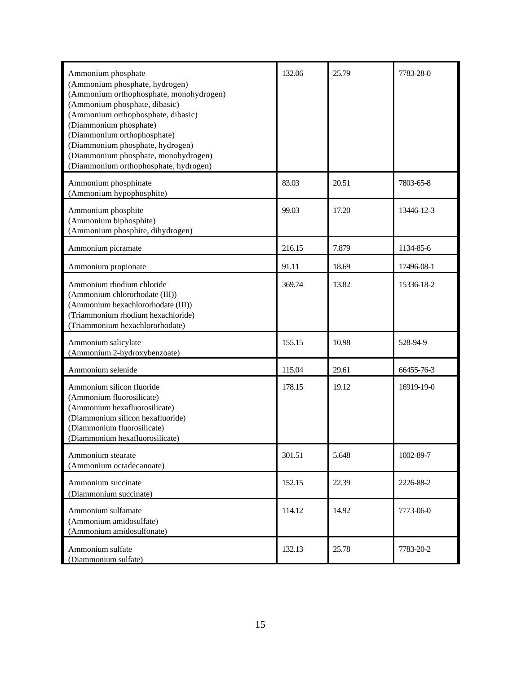| Ammonium phosphate<br>(Ammonium phosphate, hydrogen)<br>(Ammonium orthophosphate, monohydrogen)<br>(Ammonium phosphate, dibasic)<br>(Ammonium orthophosphate, dibasic)<br>(Diammonium phosphate)<br>(Diammonium orthophosphate)<br>(Diammonium phosphate, hydrogen)<br>(Diammonium phosphate, monohydrogen)<br>(Diammonium orthophosphate, hydrogen) | 132.06 | 25.79 | 7783-28-0  |
|------------------------------------------------------------------------------------------------------------------------------------------------------------------------------------------------------------------------------------------------------------------------------------------------------------------------------------------------------|--------|-------|------------|
| Ammonium phosphinate<br>(Ammonium hypophosphite)                                                                                                                                                                                                                                                                                                     | 83.03  | 20.51 | 7803-65-8  |
| Ammonium phosphite<br>(Ammonium biphosphite)<br>(Ammonium phosphite, dihydrogen)                                                                                                                                                                                                                                                                     | 99.03  | 17.20 | 13446-12-3 |
| Ammonium picramate                                                                                                                                                                                                                                                                                                                                   | 216.15 | 7.879 | 1134-85-6  |
| Ammonium propionate                                                                                                                                                                                                                                                                                                                                  | 91.11  | 18.69 | 17496-08-1 |
| Ammonium rhodium chloride<br>(Ammonium chlororhodate (III))<br>(Ammonium hexachlororhodate (III))<br>(Triammonium rhodium hexachloride)<br>(Triammonium hexachlororhodate)                                                                                                                                                                           | 369.74 | 13.82 | 15336-18-2 |
| Ammonium salicylate<br>(Ammonium 2-hydroxybenzoate)                                                                                                                                                                                                                                                                                                  | 155.15 | 10.98 | 528-94-9   |
| Ammonium selenide                                                                                                                                                                                                                                                                                                                                    | 115.04 | 29.61 | 66455-76-3 |
| Ammonium silicon fluoride<br>(Ammonium fluorosilicate)<br>(Ammonium hexafluorosilicate)<br>(Diammonium silicon hexafluoride)<br>(Diammonium fluorosilicate)<br>(Diammonium hexafluorosilicate)                                                                                                                                                       | 178.15 | 19.12 | 16919-19-0 |
| Ammonium stearate<br>(Ammonium octadecanoate)                                                                                                                                                                                                                                                                                                        | 301.51 | 5.648 | 1002-89-7  |
| Ammonium succinate<br>(Diammonium succinate)                                                                                                                                                                                                                                                                                                         | 152.15 | 22.39 | 2226-88-2  |
| Ammonium sulfamate<br>(Ammonium amidosulfate)<br>(Ammonium amidosulfonate)                                                                                                                                                                                                                                                                           | 114.12 | 14.92 | 7773-06-0  |
| Ammonium sulfate<br>(Diammonium sulfate)                                                                                                                                                                                                                                                                                                             | 132.13 | 25.78 | 7783-20-2  |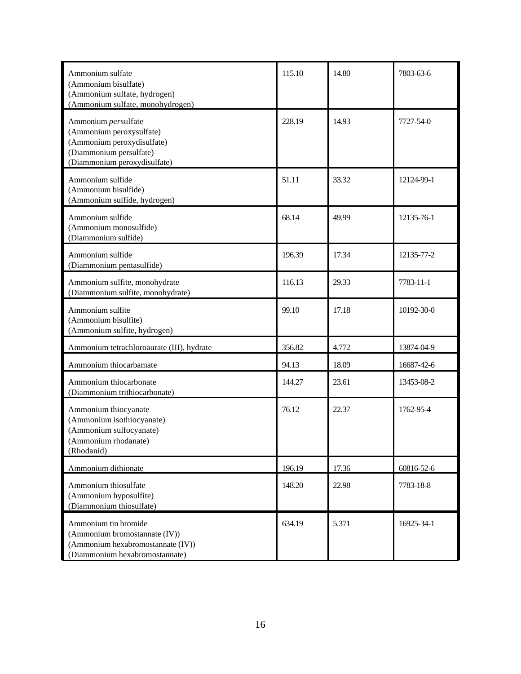| Ammonium sulfate<br>(Ammonium bisulfate)<br>(Ammonium sulfate, hydrogen)<br>(Ammonium sulfate, monohydrogen)                             | 115.10 | 14.80 | 7803-63-6  |
|------------------------------------------------------------------------------------------------------------------------------------------|--------|-------|------------|
| Ammonium persulfate<br>(Ammonium peroxysulfate)<br>(Ammonium peroxydisulfate)<br>(Diammonium persulfate)<br>(Diammonium peroxydisulfate) | 228.19 | 14.93 | 7727-54-0  |
| Ammonium sulfide<br>(Ammonium bisulfide)<br>(Ammonium sulfide, hydrogen)                                                                 | 51.11  | 33.32 | 12124-99-1 |
| Ammonium sulfide<br>(Ammonium monosulfide)<br>(Diammonium sulfide)                                                                       | 68.14  | 49.99 | 12135-76-1 |
| Ammonium sulfide<br>(Diammonium pentasulfide)                                                                                            | 196.39 | 17.34 | 12135-77-2 |
| Ammonium sulfite, monohydrate<br>(Diammonium sulfite, monohydrate)                                                                       | 116.13 | 29.33 | 7783-11-1  |
| Ammonium sulfite<br>(Ammonium bisulfite)<br>(Ammonium sulfite, hydrogen)                                                                 | 99.10  | 17.18 | 10192-30-0 |
| Ammonium tetrachloroaurate (III), hydrate                                                                                                | 356.82 | 4.772 | 13874-04-9 |
| Ammonium thiocarbamate                                                                                                                   | 94.13  | 18.09 | 16687-42-6 |
| Ammonium thiocarbonate<br>(Diammonium trithiocarbonate)                                                                                  | 144.27 | 23.61 | 13453-08-2 |
| Ammonium thiocyanate<br>(Ammonium isothiocyanate)<br>(Ammonium sulfocyanate)<br>(Ammonium rhodanate)<br>(Rhodanid)                       | 76.12  | 22.37 | 1762-95-4  |
| Ammonium dithionate                                                                                                                      | 196.19 | 17.36 | 60816-52-6 |
| Ammonium thiosulfate<br>(Ammonium hyposulfite)<br>(Diammonium thiosulfate)                                                               | 148.20 | 22.98 | 7783-18-8  |
| Ammonium tin bromide<br>(Ammonium bromostannate (IV))<br>(Ammonium hexabromostannate (IV))<br>(Diammonium hexabromostannate)             | 634.19 | 5.371 | 16925-34-1 |